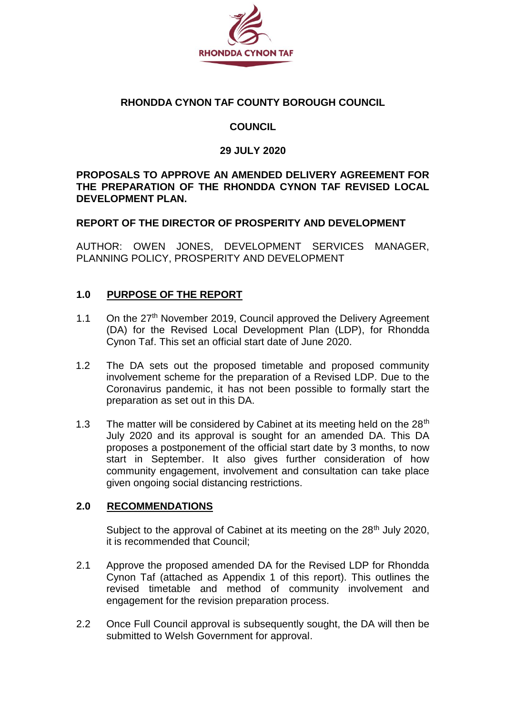

### **RHONDDA CYNON TAF COUNTY BOROUGH COUNCIL**

# **COUNCIL**

# **29 JULY 2020**

### **PROPOSALS TO APPROVE AN AMENDED DELIVERY AGREEMENT FOR THE PREPARATION OF THE RHONDDA CYNON TAF REVISED LOCAL DEVELOPMENT PLAN.**

# **REPORT OF THE DIRECTOR OF PROSPERITY AND DEVELOPMENT**

AUTHOR: OWEN JONES, DEVELOPMENT SERVICES MANAGER, PLANNING POLICY, PROSPERITY AND DEVELOPMENT

# **1.0 PURPOSE OF THE REPORT**

- 1.1 On the 27<sup>th</sup> November 2019, Council approved the Delivery Agreement (DA) for the Revised Local Development Plan (LDP), for Rhondda Cynon Taf. This set an official start date of June 2020.
- 1.2 The DA sets out the proposed timetable and proposed community involvement scheme for the preparation of a Revised LDP. Due to the Coronavirus pandemic, it has not been possible to formally start the preparation as set out in this DA.
- 1.3 The matter will be considered by Cabinet at its meeting held on the  $28<sup>th</sup>$ July 2020 and its approval is sought for an amended DA. This DA proposes a postponement of the official start date by 3 months, to now start in September. It also gives further consideration of how community engagement, involvement and consultation can take place given ongoing social distancing restrictions.

# **2.0 RECOMMENDATIONS**

Subject to the approval of Cabinet at its meeting on the 28<sup>th</sup> July 2020, it is recommended that Council;

- 2.1 Approve the proposed amended DA for the Revised LDP for Rhondda Cynon Taf (attached as Appendix 1 of this report). This outlines the revised timetable and method of community involvement and engagement for the revision preparation process.
- 2.2 Once Full Council approval is subsequently sought, the DA will then be submitted to Welsh Government for approval.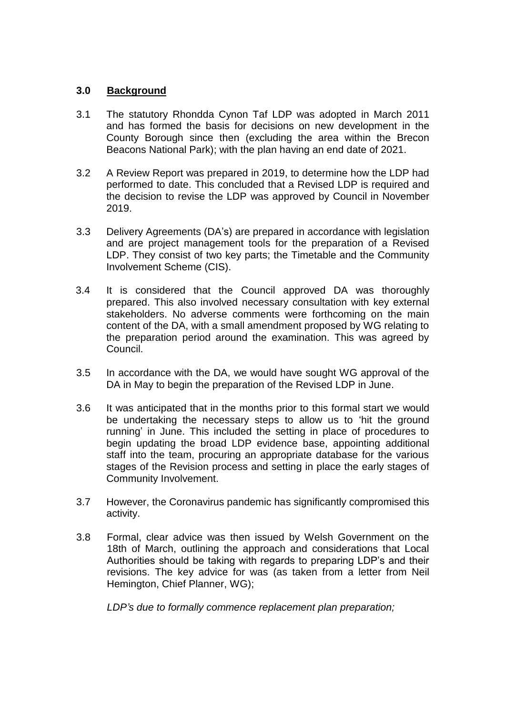### **3.0 Background**

- 3.1 The statutory Rhondda Cynon Taf LDP was adopted in March 2011 and has formed the basis for decisions on new development in the County Borough since then (excluding the area within the Brecon Beacons National Park); with the plan having an end date of 2021.
- 3.2 A Review Report was prepared in 2019, to determine how the LDP had performed to date. This concluded that a Revised LDP is required and the decision to revise the LDP was approved by Council in November 2019.
- 3.3 Delivery Agreements (DA's) are prepared in accordance with legislation and are project management tools for the preparation of a Revised LDP. They consist of two key parts; the Timetable and the Community Involvement Scheme (CIS).
- 3.4 It is considered that the Council approved DA was thoroughly prepared. This also involved necessary consultation with key external stakeholders. No adverse comments were forthcoming on the main content of the DA, with a small amendment proposed by WG relating to the preparation period around the examination. This was agreed by Council.
- 3.5 In accordance with the DA, we would have sought WG approval of the DA in May to begin the preparation of the Revised LDP in June.
- 3.6 It was anticipated that in the months prior to this formal start we would be undertaking the necessary steps to allow us to 'hit the ground running' in June. This included the setting in place of procedures to begin updating the broad LDP evidence base, appointing additional staff into the team, procuring an appropriate database for the various stages of the Revision process and setting in place the early stages of Community Involvement.
- 3.7 However, the Coronavirus pandemic has significantly compromised this activity.
- 3.8 Formal, clear advice was then issued by Welsh Government on the 18th of March, outlining the approach and considerations that Local Authorities should be taking with regards to preparing LDP's and their revisions. The key advice for was (as taken from a letter from Neil Hemington, Chief Planner, WG);

*LDP's due to formally commence replacement plan preparation;*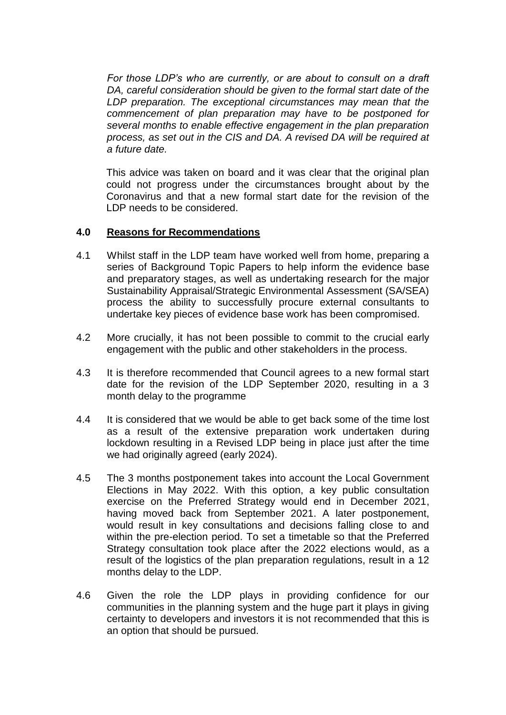*For those LDP's who are currently, or are about to consult on a draft DA, careful consideration should be given to the formal start date of the LDP preparation. The exceptional circumstances may mean that the commencement of plan preparation may have to be postponed for several months to enable effective engagement in the plan preparation process, as set out in the CIS and DA. A revised DA will be required at a future date.*

This advice was taken on board and it was clear that the original plan could not progress under the circumstances brought about by the Coronavirus and that a new formal start date for the revision of the LDP needs to be considered.

#### **4.0 Reasons for Recommendations**

- 4.1 Whilst staff in the LDP team have worked well from home, preparing a series of Background Topic Papers to help inform the evidence base and preparatory stages, as well as undertaking research for the major Sustainability Appraisal/Strategic Environmental Assessment (SA/SEA) process the ability to successfully procure external consultants to undertake key pieces of evidence base work has been compromised.
- 4.2 More crucially, it has not been possible to commit to the crucial early engagement with the public and other stakeholders in the process.
- 4.3 It is therefore recommended that Council agrees to a new formal start date for the revision of the LDP September 2020, resulting in a 3 month delay to the programme
- 4.4 It is considered that we would be able to get back some of the time lost as a result of the extensive preparation work undertaken during lockdown resulting in a Revised LDP being in place just after the time we had originally agreed (early 2024).
- 4.5 The 3 months postponement takes into account the Local Government Elections in May 2022. With this option, a key public consultation exercise on the Preferred Strategy would end in December 2021, having moved back from September 2021. A later postponement, would result in key consultations and decisions falling close to and within the pre-election period. To set a timetable so that the Preferred Strategy consultation took place after the 2022 elections would, as a result of the logistics of the plan preparation regulations, result in a 12 months delay to the LDP.
- 4.6 Given the role the LDP plays in providing confidence for our communities in the planning system and the huge part it plays in giving certainty to developers and investors it is not recommended that this is an option that should be pursued.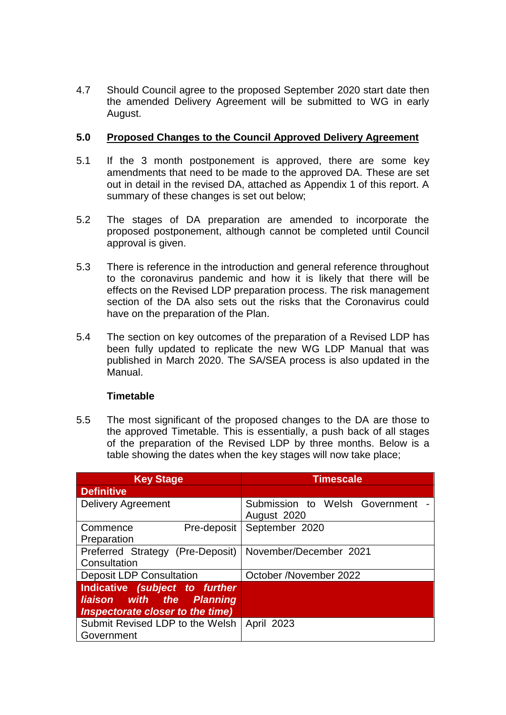4.7 Should Council agree to the proposed September 2020 start date then the amended Delivery Agreement will be submitted to WG in early August.

### **5.0 Proposed Changes to the Council Approved Delivery Agreement**

- 5.1 If the 3 month postponement is approved, there are some key amendments that need to be made to the approved DA. These are set out in detail in the revised DA, attached as Appendix 1 of this report. A summary of these changes is set out below;
- 5.2 The stages of DA preparation are amended to incorporate the proposed postponement, although cannot be completed until Council approval is given.
- 5.3 There is reference in the introduction and general reference throughout to the coronavirus pandemic and how it is likely that there will be effects on the Revised LDP preparation process. The risk management section of the DA also sets out the risks that the Coronavirus could have on the preparation of the Plan.
- 5.4 The section on key outcomes of the preparation of a Revised LDP has been fully updated to replicate the new WG LDP Manual that was published in March 2020. The SA/SEA process is also updated in the Manual.

# **Timetable**

5.5 The most significant of the proposed changes to the DA are those to the approved Timetable. This is essentially, a push back of all stages of the preparation of the Revised LDP by three months. Below is a table showing the dates when the key stages will now take place;

| <b>Key Stage</b>                                                                                | <b>Timescale</b>                              |
|-------------------------------------------------------------------------------------------------|-----------------------------------------------|
| <b>Definitive</b>                                                                               |                                               |
| <b>Delivery Agreement</b>                                                                       | Submission to Welsh Government<br>August 2020 |
| Pre-deposit<br>Commence<br>Preparation                                                          | September 2020                                |
| Preferred Strategy (Pre-Deposit)<br>Consultation                                                | November/December 2021                        |
| <b>Deposit LDP Consultation</b>                                                                 | October /November 2022                        |
| Indicative (subject to further<br>liaison with the Planning<br>Inspectorate closer to the time) |                                               |
| Submit Revised LDP to the Welsh   April 2023<br>Government                                      |                                               |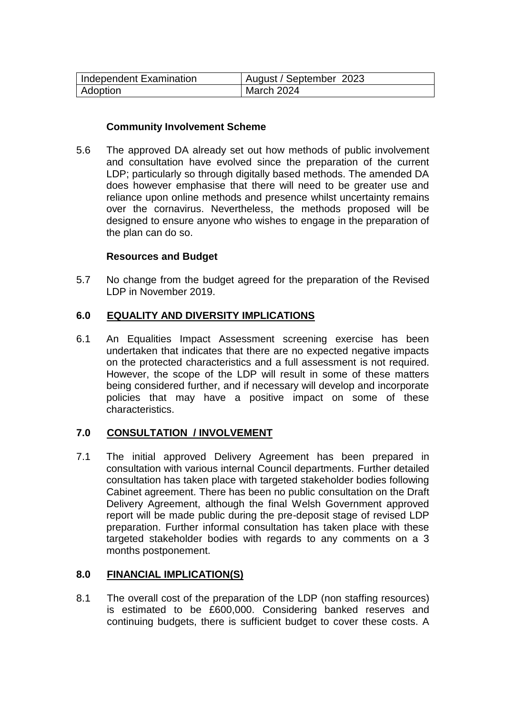| Independent Examination | August / September 2023 |
|-------------------------|-------------------------|
| <b>Adoption</b>         | March 2024              |

#### **Community Involvement Scheme**

5.6 The approved DA already set out how methods of public involvement and consultation have evolved since the preparation of the current LDP; particularly so through digitally based methods. The amended DA does however emphasise that there will need to be greater use and reliance upon online methods and presence whilst uncertainty remains over the cornavirus. Nevertheless, the methods proposed will be designed to ensure anyone who wishes to engage in the preparation of the plan can do so.

#### **Resources and Budget**

5.7 No change from the budget agreed for the preparation of the Revised LDP in November 2019.

### **6.0 EQUALITY AND DIVERSITY IMPLICATIONS**

6.1 An Equalities Impact Assessment screening exercise has been undertaken that indicates that there are no expected negative impacts on the protected characteristics and a full assessment is not required. However, the scope of the LDP will result in some of these matters being considered further, and if necessary will develop and incorporate policies that may have a positive impact on some of these characteristics.

### **7.0 CONSULTATION / INVOLVEMENT**

7.1 The initial approved Delivery Agreement has been prepared in consultation with various internal Council departments. Further detailed consultation has taken place with targeted stakeholder bodies following Cabinet agreement. There has been no public consultation on the Draft Delivery Agreement, although the final Welsh Government approved report will be made public during the pre-deposit stage of revised LDP preparation. Further informal consultation has taken place with these targeted stakeholder bodies with regards to any comments on a 3 months postponement.

### **8.0 FINANCIAL IMPLICATION(S)**

8.1 The overall cost of the preparation of the LDP (non staffing resources) is estimated to be £600,000. Considering banked reserves and continuing budgets, there is sufficient budget to cover these costs. A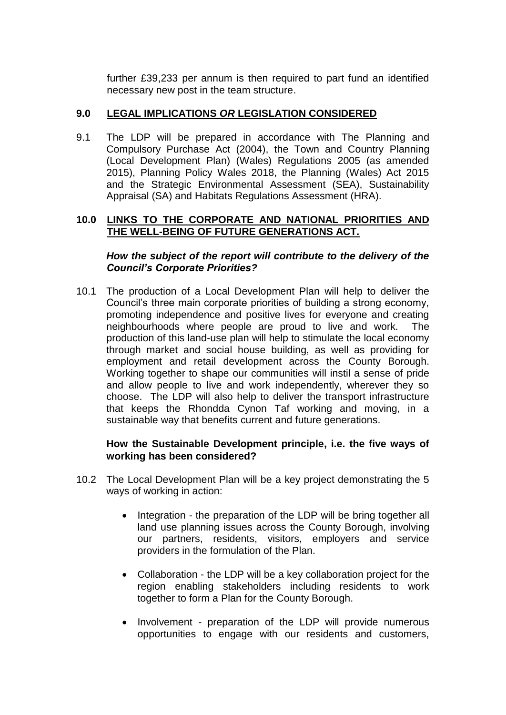further £39,233 per annum is then required to part fund an identified necessary new post in the team structure.

# **9.0 LEGAL IMPLICATIONS** *OR* **LEGISLATION CONSIDERED**

9.1 The LDP will be prepared in accordance with The Planning and Compulsory Purchase Act (2004), the Town and Country Planning (Local Development Plan) (Wales) Regulations 2005 (as amended 2015), Planning Policy Wales 2018, the Planning (Wales) Act 2015 and the Strategic Environmental Assessment (SEA), Sustainability Appraisal (SA) and Habitats Regulations Assessment (HRA).

### **10.0 LINKS TO THE CORPORATE AND NATIONAL PRIORITIES AND THE WELL-BEING OF FUTURE GENERATIONS ACT.**

*How the subject of the report will contribute to the delivery of the Council's Corporate Priorities?*

10.1 The production of a Local Development Plan will help to deliver the Council's three main corporate priorities of building a strong economy, promoting independence and positive lives for everyone and creating neighbourhoods where people are proud to live and work. The production of this land-use plan will help to stimulate the local economy through market and social house building, as well as providing for employment and retail development across the County Borough. Working together to shape our communities will instil a sense of pride and allow people to live and work independently, wherever they so choose. The LDP will also help to deliver the transport infrastructure that keeps the Rhondda Cynon Taf working and moving, in a sustainable way that benefits current and future generations.

### **How the Sustainable Development principle, i.e. the five ways of working has been considered?**

- 10.2 The Local Development Plan will be a key project demonstrating the 5 ways of working in action:
	- Integration the preparation of the LDP will be bring together all land use planning issues across the County Borough, involving our partners, residents, visitors, employers and service providers in the formulation of the Plan.
	- Collaboration the LDP will be a key collaboration project for the region enabling stakeholders including residents to work together to form a Plan for the County Borough.
	- Involvement preparation of the LDP will provide numerous opportunities to engage with our residents and customers,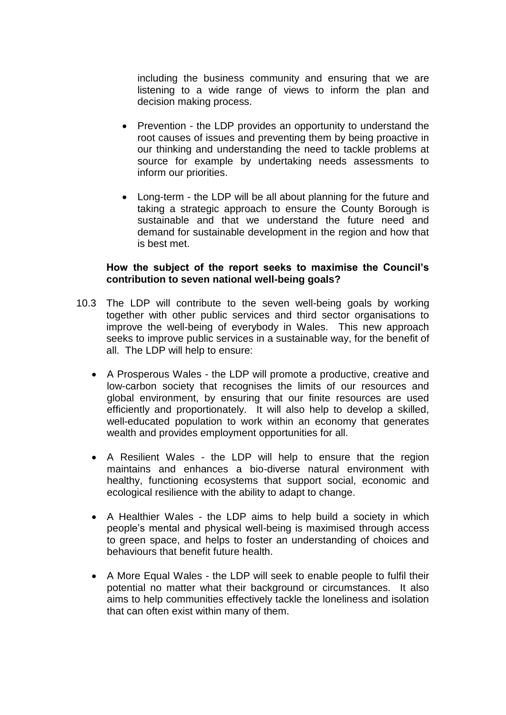including the business community and ensuring that we are listening to a wide range of views to inform the plan and decision making process.

- Prevention the LDP provides an opportunity to understand the root causes of issues and preventing them by being proactive in our thinking and understanding the need to tackle problems at source for example by undertaking needs assessments to inform our priorities.
- Long-term the LDP will be all about planning for the future and taking a strategic approach to ensure the County Borough is sustainable and that we understand the future need and demand for sustainable development in the region and how that is best met.

#### **How the subject of the report seeks to maximise the Council's contribution to seven national well-being goals?**

- 10.3 The LDP will contribute to the seven well-being goals by working together with other public services and third sector organisations to improve the well-being of everybody in Wales. This new approach seeks to improve public services in a sustainable way, for the benefit of all. The LDP will help to ensure:
	- A Prosperous Wales the LDP will promote a productive, creative and low-carbon society that recognises the limits of our resources and global environment, by ensuring that our finite resources are used efficiently and proportionately. It will also help to develop a skilled, well-educated population to work within an economy that generates wealth and provides employment opportunities for all.
	- A Resilient Wales the LDP will help to ensure that the region maintains and enhances a bio-diverse natural environment with healthy, functioning ecosystems that support social, economic and ecological resilience with the ability to adapt to change.
	- A Healthier Wales the LDP aims to help build a society in which people's mental and physical well-being is maximised through access to green space, and helps to foster an understanding of choices and behaviours that benefit future health.
	- A More Equal Wales the LDP will seek to enable people to fulfil their potential no matter what their background or circumstances. It also aims to help communities effectively tackle the loneliness and isolation that can often exist within many of them.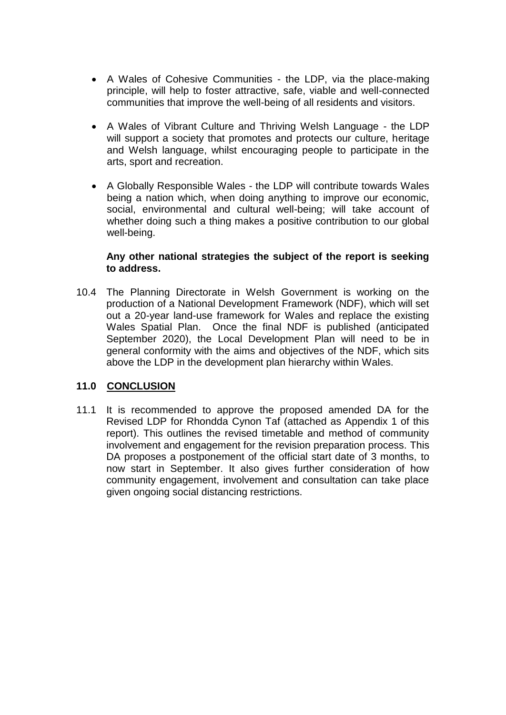- A Wales of Cohesive Communities the LDP, via the place-making principle, will help to foster attractive, safe, viable and well-connected communities that improve the well-being of all residents and visitors.
- A Wales of Vibrant Culture and Thriving Welsh Language the LDP will support a society that promotes and protects our culture, heritage and Welsh language, whilst encouraging people to participate in the arts, sport and recreation.
- A Globally Responsible Wales the LDP will contribute towards Wales being a nation which, when doing anything to improve our economic, social, environmental and cultural well-being; will take account of whether doing such a thing makes a positive contribution to our global well-being.

#### **Any other national strategies the subject of the report is seeking to address.**

10.4 The Planning Directorate in Welsh Government is working on the production of a National Development Framework (NDF), which will set out a 20-year land-use framework for Wales and replace the existing Wales Spatial Plan. Once the final NDF is published (anticipated September 2020), the Local Development Plan will need to be in general conformity with the aims and objectives of the NDF, which sits above the LDP in the development plan hierarchy within Wales.

### **11.0 CONCLUSION**

11.1 It is recommended to approve the proposed amended DA for the Revised LDP for Rhondda Cynon Taf (attached as Appendix 1 of this report). This outlines the revised timetable and method of community involvement and engagement for the revision preparation process. This DA proposes a postponement of the official start date of 3 months, to now start in September. It also gives further consideration of how community engagement, involvement and consultation can take place given ongoing social distancing restrictions.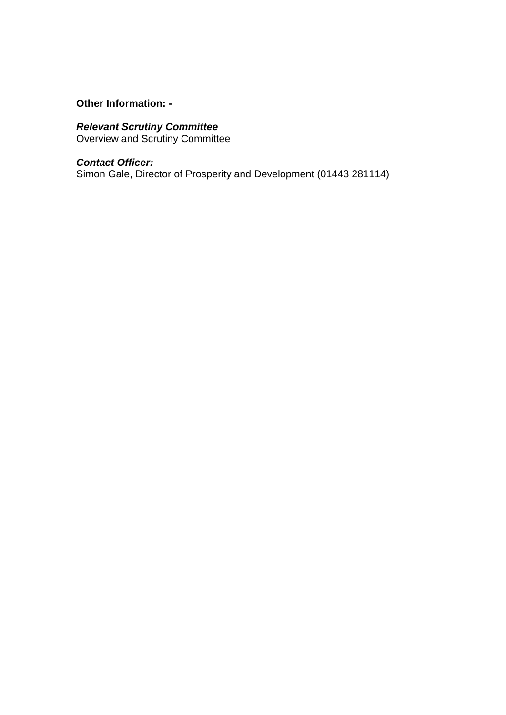# **Other Information: -**

## *Relevant Scrutiny Committee*

Overview and Scrutiny Committee

#### *Contact Officer:*

Simon Gale, Director of Prosperity and Development (01443 281114)